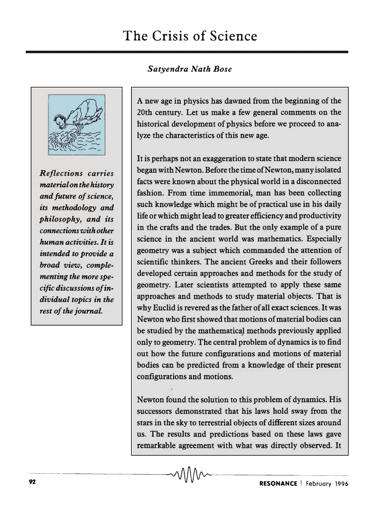# *Satyendra Natk Bose*



*Reflections carries material on the history and future of science, its methodology and philosophy, and its connections with other human activities. It is intended to provide a broad view, complementing the more specific discussions of individual topics in the rest of the journal.* 

A new age in physics has dawned from the beginning of the 20th century. Let us make a few general comments on the historical development of physics before we proceed to analyze the characteristics of this new age.

It is perhaps not an exaggeration to state that modern science began with Newton. Before the time of Newton, many isolated facts were known about the physical world in a disconnected fashion. From time immemorial, man has been collecting such knowledge which might be of practical use in his daily life or which might lead to greater efficiency and productivity in the crafts and the trades. But the only example of a pure science in the ancient world was mathematics. Especially geometry was a subject which commanded the attention of scientific thinkers. The ancient Greeks and their followers developed certain approaches and methods for the study of geometry. Later scientists attempted to apply these same approaches and methods to study material objects. That is why Euclid is revered as the father of all exact sciences. It was Newton who first showed that motions of material bodies can be studied by the mathematical methods previously applied only to geometry. The central problem of dynamics is to find out how the future configurations and motions of material bodies can be predicted from a knowledge of their present configurations and motions.

Newton found the solution to this problem of dynamics. His successors demonstrated that his laws hold sway from the stars in the sky to terrestrial objects of different sizes around us. The results and predictions based on these laws gave remarkable agreement with what was directly observed. It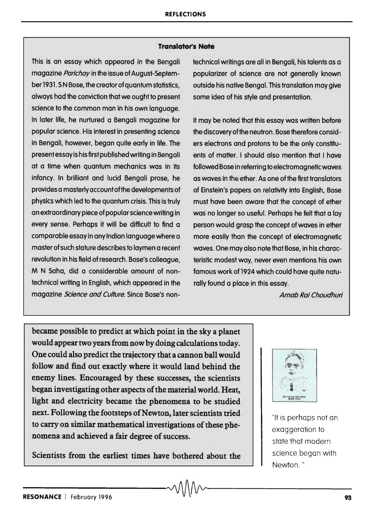## **Translator's Note**

This is an essay which appeared in the Bengali magazine *Parichay* in the issue of August-September 1931. S N Bose, the creator of quantum statistics, always had the conviction that we ought to present science to the common man in his own language. In later life, he nurtured a Bengali magazine for popular science. His interest in presenting science in Bengali, however, began quite early in life. The present essay is his first published writing in Bengali at a time when quantum mechanics was in its infancy. In brilliant and lucid Bengali prose, he provides a masterly account of the developments of physics which led to the quantum crisis. This is truly an extraordinary piece of popular science writing in every sense. Perhaps it will be difficult to find a comparable essay in any Indian language where a master of such stature describes to laymen a recent revolution in his field of research. Bose's colleague, M N Saha, did a considerable amount of nontechnical writing in English, which appeared in the magazine *Science and Culture*. Since Bose's nontechnical writings are all in Bengali, his talents as a popularizer of science are not generally known outside his native Bengal. This translation may give some idea of his style and presentation.

It may be noted that this essay was written before the discovery of the neutron. Bose therefore considers electrons and protons to be the only constituents of matter. I should also mention that I have followed Bose in referring to electromagnetic waves as waves in the ether. As one of the first translators of Einstein's papers on relativity into English, Bose must have been aware that the concept of ether was no longer so useful. Perhaps he felt that a lay person would grasp the concept of waves in ether more easily than the concept of electromagnetic waves. One may also note that Bose, in his characteristic modest way, never even mentions his own famous work of 1924 which could have quite naturally found a place in this essay.

Arnab Rai Choudhuri

became possible to predict at which point in the sky a planet would appear two years from now by doing calculations today. One could also predict the trajectory that a cannon ball would follow and find out exactly where it would land behind the enemy lines. Encouraged by these successes, the scientists began investigating other aspects of the material world. Heat, light and electricity became the phenomena to be studied next. Following the footsteps of Newton, later scientists tried to carry on similar mathematical investigations of these phenomena'and achieved a fair degree of success.

Scientists from the earliest times have bothered about the



"It is perhaps not an exaggeration to state that modern science began with Newton. "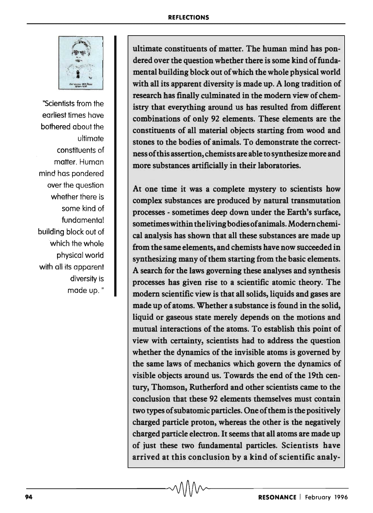

"Scientists from the earliest times have bothered about the ultimate constituents of matter. Human mind has pondered over the question whether there is some kind of fundamental building block out of which the whole physical world with all its apparent diversify is made up."

ultimate constituents of matter. The human mind has pondered over the question whether there is some kind of fundamental building block out of which the whole physical world with all its apparent diversity is made up. A long tradition of research has finally culminated in the modem view of chemistry that everything around us has resulted from different combinations of only 92 elements. These elements are the constituents of all material objects starting from wood and stones to the bodies of animals. To demonstrate the correctness of this assertion, chemists are able to synthesize more and more substances artificially in their laboratories.

At one time it was a complete mystery to scientists how complex substances are produced by natural transmutation processes - sometimes deep down under the Earth's surface, sometimes within the living bodies of animals. Modem chemical analysis has shown that all these substances are made up from the same elements, and chemists have now succeeded in synthesizing many of them starting from the basic elements. A search for the laws governing these analyses and synthesis processes has given rise to a scientific atomic theory. The modem scientific view is that all solids, liquids and gases are made up of atoms. Whether a substance is found in the solid, liquid or gaseous state merely depends on the motions and mutual interactions of the atoms. To establish this point of view with certainty, scientists had to address the question whether the dynamics of the invisible atoms is governed by the same laws of mechanics which govern the dynamics of visible objects around us. Towards the end of the 19th century, Thomson, Rutherford and other scientists came to the conclusion that these 92 elements themselves must contain two types of subatomic particles. One of them is the positively charged particle proton, whereas the other is the negatively charged particle electron. It seems that all atoms are made up of just these two fundamental particles. Scientists have arrived at this conclusion by a kind of scientific analy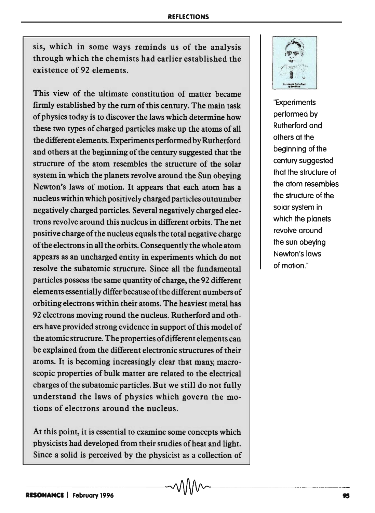sis, which in some ways reminds us of the analysis through which the chemists had earlier established the existence of 92 elements.

This view of the ultimate constitution of matter became firmly established by the tum of this century. The main task of physics today is to discover the laws which determine how these two types of charged particles make up the atoms of all the different elements. Experiments performed by Rutherford and others at the beginning of the century suggested that the structure of the atom resembles the structure of the solar system in which the planets revolve around the Sun obeying Newton's laws of motion. It appears that each atom has a nucleus within which positively charged particles outnumber negatively charged particles. Several negatively charged electrons revolve around this nucleus in different orbits. The net positive charge of the nucleus equals the total negative charge of the electrons in all the orbits. Consequently the whole atom appears as an uncharged entity in experiments which do not resolve the subatomic structure. Since all the fundamental particles possess the same quantity of charge, the 92 different elements essentially differ because of the different numbers of orbiting electrons within their atoms. The heaviest metal has 92 electrons moving round the nucleus. Rutherford and others have provided strong evidence in support of this model of the atomic structure. The properties of different elements can be explained from the different electronic structures of their atoms. It is becoming increasingly clear that many. macroscopic properties of bulk matter are related to the electrical charges of the subatomic particles. But we still do not fully understand the laws of physics which govern the motions of electrons around the nucleus.

At this point, it is essential to examine some concepts which physicists had developed from their studies of heat and light. Since a solid is perceived by the physicist as a collection of

---------------------"J



"Experiments performed by Rutherford and others at the beginning of the century suggested that the structure of the atom resembles the structure of the solar system in which the planets revolve around the sun obeying Newton's laws of motion."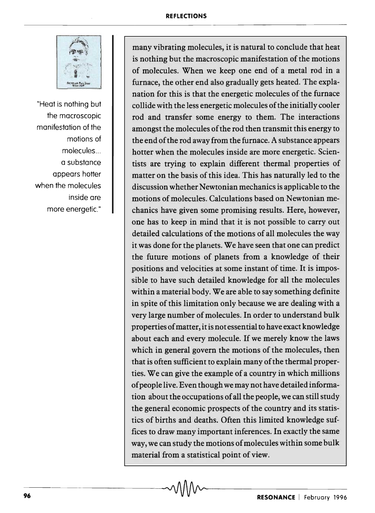

"Heat is nothing but the macroscopic manifestation of the motions of molecules ... a substance appears hotter when the molecules inside are more energetic."

many vibrating molecules, it is natural to conclude that heat is nothing but the macroscopic manifestation of the motions of molecules. When we keep one end of a metal rod in a furnace, the other end also gradually gets heated. The explanation for this is that the energetic molecules of the furnace collide with the less energetic molecules of the initially cooler rod and transfer some energy to them. The interactions amongst the molecules of the rod then transmit this energy to the end of the rod away from the furnace. A substance appears hotter when the molecules inside are more energetic. Scientists are trying to explain different thermal properties of matter on the basis of this idea. This has naturally led to the discussion whether Newtonian mechanics is applicable to the motions of molecules. Calculations based on Newtonian mechanics have given some promising results. Here, however, one has to keep in mind that it is not possible to carry out detailed calculations of the motions of all molecules the way it was done for the planets. We have seen that one can predict the future motions of planets from a knowledge of their positions and velocities at some instant of time. It is impossible to have such detailed knowledge for all the molecules within a material body. We are able to say something definite in spite of this limitation only because we are dealing with a very large number of molecules. In order to understand bulk properties of matter, it is not essential to have exact knowledge about each and every molecule. If we merely know the laws which in general govern the motions of the molecules, then that is often sufficient to explain many of the thermal properties. We can give the example of a country in which millions of people live. Even though we may not have detailed information about the occupations of all the people, we can still study the general economic prospects of the country and its statistics of births and deaths. Often this limited knowledge suffices to draw many important inferences. In exactly the same way, we can study the motions of molecules within some bulk material from a statistical point of view.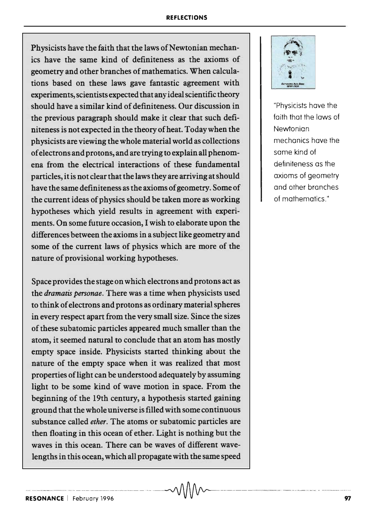## **REFLECTIONS**

Physicists have the faith that the laws of Newtonian mechanics have the same kind of definiteness as the axioms of geometry and other branches of mathematics. When calculations based on these laws gave fantastic agreement with experiments, scientists expected that any ideal scientific theory should have a similar kind of definiteness. Our discussion in the previous paragraph should make it clear that such definiteness is not expected in the theory of heat. Today when the physicists are viewing the whole material world as collections of electrons and protons, and are trying to explain all phenomena from the electrical interactions of these fundamental particles, it is not clear that the laws they are arriving at should have the same definiteness as the axioms of geometry. Some of the current ideas of physics should be taken more as working hypotheses which yield results in agreement with experiments. On some future occasion, I wish to elaborate upon the differences between the axioms in a subject like geometry and some of the current laws of physics which are more of the nature of provisional working hypotheses.

Space provides the stage on which electrons and protons act as the *dramatis personae.* There was a time when physicists used to think of electrons and protons as ordinary material spheres in every respect apart from the very small size. Since the sizes of these subatomic particles appeared much smaller than the atom, it seemed natural to conclude that an atom has mostly empty space inside. Physicists started thinking about the nature of the empty space when it was realized that most properties oflight can be understood adequately by assuming light to be some kind of wave motion in space. From the beginning of the 19th century, a hypothesis started gaining ground that the whole universe is filled with some continuous substance called *ether.* The atoms or subatomic particles are then floating in this ocean of ether. Light is nothing but the waves in this ocean. There can be waves of different wavelengths in this ocean, which all propagate with the same speed

--~ ---~--- ~~ ~-----. -~----- ---------- -- -- --~-------- -.---- -- -~- ~.--



"Physicists have the faith that the laws of Newtonian mechanics have the same kind of definiteness as the axioms of geometry and other branches of mathematics."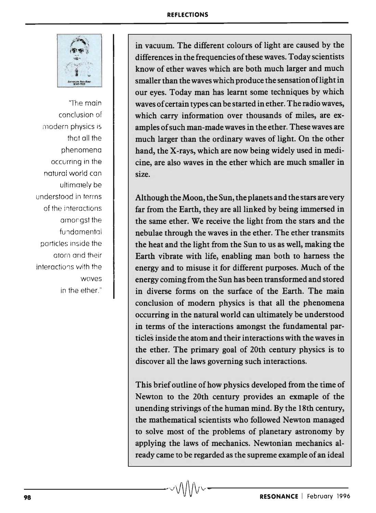

"The main conclusion of modern physics is that all the phenomena occurring in the naturai world can ultimately be understood in terms of the interactions amoriast the fundamental particles inside the atom and their interactions with the WClves in the ether."

in vacuum. The different colours of light are caused by the differences in the frequencies of these waves. Today scientists know of ether waves which are both much larger and much smaller than the waves which produce the sensation of light in our eyes. Today man has learnt some techniques by which waves of certain types can be started in ether. The radio waves, which carry information over thousands of miles, are examples of such man-made waves in the ether. These waves are much larger than the ordinary waves of light. On the other hand, the X-rays, which are now being widely used in medicine, are also waves in the ether which are much smaller in size.

Although the Moon, the Sun, the planets and the stars are very far from the Earth, they are all linked by being immersed in the same ether. We receive the light from the stars and the nebulae through the waves in the ether. The ether transmits the heat and the light from the Sun to us as well, making the Earth vibrate with life, enabling man both to harness the energy and to misuse it for different purposes. Much of the energy coming from the Sun has been transformed and stored in diverse forms on the surface of the Earth. The main conclusion of modern physics is that all the phenomena occurring in the natural world can ultimately be understood in terms of the interactions amongst the fundamental particles inside the atom and their interactions with the waves in the ether. The primary goal of 20th century physics is to discover all the laws governing such interactions.

This brief outline of how physics developed from the time of Newton to the 20th century provides an exmaple of the unending strivings of the human mind. By the 18th century, the mathematical scientists who followed Newton managed to solve most of the problems of planetary astronomy by applying the laws of mechanics. Newtonian mechanics already came to be regarded as the supreme example of an ideal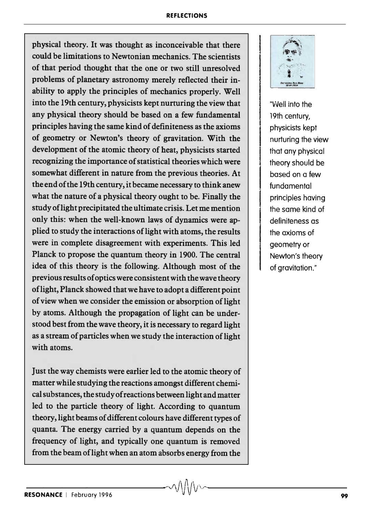### **REFLECTIONS**

physical theory. It was thought as inconceivable that there could be limitations to Newtonian mechanics. The scientists of that period thought that the one or two still unresolved problems of planetary astronomy merely reflected their inability to apply the principles of mechanics properly. Well into the 19th century, physicists kept nurturing the view that any physical theory should be based on a few fundamental principles having the same kind of definiteness as the axioms of geometry or Newton's theory of gravitation. With the development of the atomic theory of heat, physicists started recognizing the importance of statistical theories which were somewhat different in nature from the previous theories. At the end of the 19th century, it became necessary to think anew what the nature of a physical theory ought to be. Finally the study of light precipitated the ultimate crisis. Let me mention only this: when the well-known laws of dynamics were applied to study the interactions of light with atoms, the results were in complete disagreement with experiments. This led Planck to propose the quantum theory in 1900. The central idea of this theory is the following. Although most of the previous results of optics were consistent with the wave theory oflight, Planck showed that we have to adopt a different point of view when we consider the emission or absorption of light by atoms. Although the propagation of light can be understood best from the wave theory, it is necessary to regard light as a stream of particles when we study the interaction of light with atoms.

Just the way chemists were earlier led to the atomic theory of matter while studying the reactions amongst different chemical substances, the study of reactions between light and matter led to the particle theory of light. According to quantum theory, light beams of different colours have different types of quanta. The energy carried by a quantum depends on the frequency of light, and typically one quantum is removed from the beam of light when an atom absorbs energy from the



"Well into the 19th century, physicists kept nurturing the view that any physical theory should be based on a few fundamental principles having the same kind of definiteness as the axioms of geometry or Newton's theory of aravitation."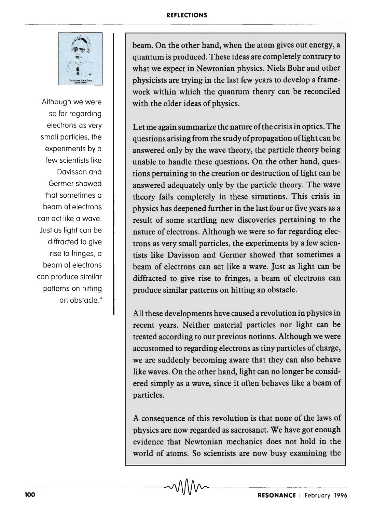### **REFLECTIONS**



"Although we were so far regarding electrons as very small particles, the experiments by a few scientists like Davisson and Germer showed that sometimes a beam of electrons can act like a wave. Just as light can be diffracted to give rise to fringes, a beam of electrons can produce similar patterns on hitting an obstacle."

beam. On the other hand, when the atom gives out energy, a quantum is produced. These ideas are completely contrary to what we expect in Newtonian physics. Niels Bohr and other physicists are trying in the last few years to develop a framework within which the quantum theory can be reconciled with the older ideas of physics.

Let me again summarize the nature of the crisis in optics. The questions arising from the study of propagation oflight can be answered only by the wave theory, the particle theory being unable to handle these questions. On the other hand, questions pertaining to the creation or destruction of light can be answered adequately only by the particle theory. The wave theory fails completely in these situations. This crisis in physics has deepened further in the last four or five years as a result of some startling new discoveries pertaining to the nature of electrons. Although we were so far regarding electrons as very small particles, the experiments by a few scientists like Davisson and Germer showed that sometimes a beam of electrons can act like a wave. Just as light can be diffracted to give rise to fringes, a beam of electrons can produce similar patterns on hitting an obstacle.

All these developments have caused a revolution in physics in recent years. Neither material particles nor light can be treated according to our previous notions. Although we were accustomed to regarding electrons as tiny particles of charge, we are suddenly becoming aware that they can also behave like waves. On the other hand, light can no longer be considered simply as a wave, since it often behaves like a beam of particles.

A consequence of this revolution is that none of the laws of physics are now regarded as sacrosanct. We have got enough evidence that Newtonian mechanics does not hold in the world of atoms. So scientists are now busy examining the  $\sim$  MM $\sim$  **RESONANCE** | February 1996 world of atoms. So scientists are now busy examining the